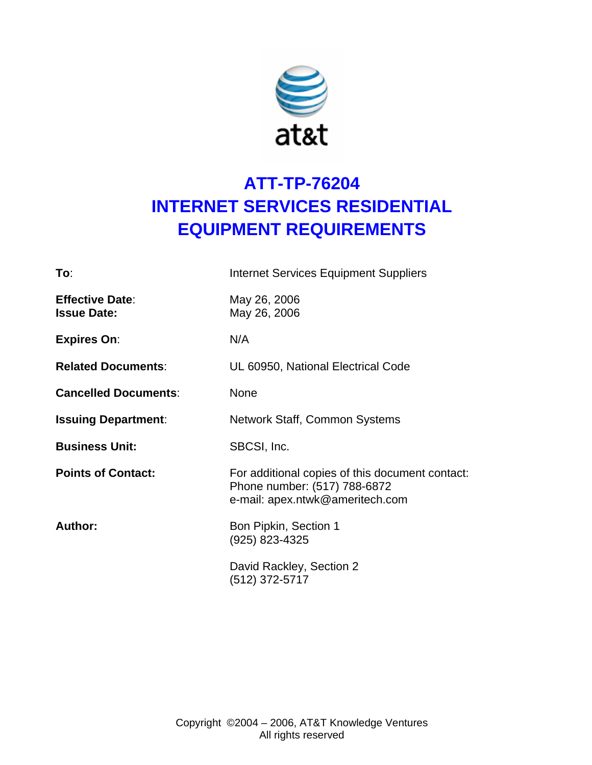

# **ATT-TP-76204 INTERNET SERVICES RESIDENTIAL EQUIPMENT REQUIREMENTS**

| To:                                          | <b>Internet Services Equipment Suppliers</b>                                                                       |
|----------------------------------------------|--------------------------------------------------------------------------------------------------------------------|
| <b>Effective Date:</b><br><b>Issue Date:</b> | May 26, 2006<br>May 26, 2006                                                                                       |
| <b>Expires On:</b>                           | N/A                                                                                                                |
| <b>Related Documents:</b>                    | UL 60950, National Electrical Code                                                                                 |
| <b>Cancelled Documents:</b>                  | <b>None</b>                                                                                                        |
| <b>Issuing Department:</b>                   | <b>Network Staff, Common Systems</b>                                                                               |
| <b>Business Unit:</b>                        | SBCSI, Inc.                                                                                                        |
| <b>Points of Contact:</b>                    | For additional copies of this document contact:<br>Phone number: (517) 788-6872<br>e-mail: apex.ntwk@ameritech.com |
| <b>Author:</b>                               | Bon Pipkin, Section 1<br>(925) 823-4325                                                                            |
|                                              | David Rackley, Section 2<br>(512) 372-5717                                                                         |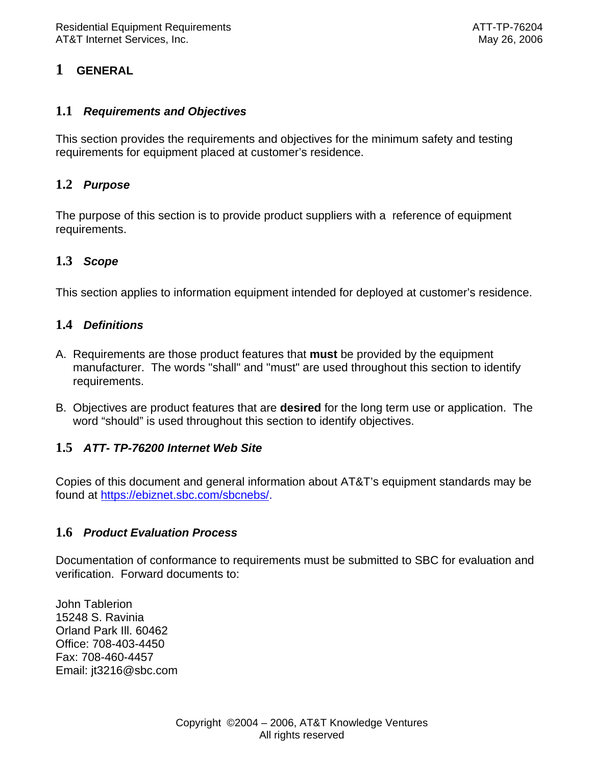## **1 GENERAL**

#### **1.1** *Requirements and Objectives*

This section provides the requirements and objectives for the minimum safety and testing requirements for equipment placed at customer's residence.

## **1.2** *Purpose*

The purpose of this section is to provide product suppliers with a reference of equipment requirements.

## **1.3** *Scope*

This section applies to information equipment intended for deployed at customer's residence.

#### **1.4** *Definitions*

- A. Requirements are those product features that **must** be provided by the equipment manufacturer. The words "shall" and "must" are used throughout this section to identify requirements.
- B. Objectives are product features that are **desired** for the long term use or application. The word "should" is used throughout this section to identify objectives.

#### **1.5** *ATT- TP-76200 Internet Web Site*

Copies of this document and general information about AT&T's equipment standards may be found at https://ebiznet.sbc.com/sbcnebs/.

#### **1.6** *Product Evaluation Process*

Documentation of conformance to requirements must be submitted to SBC for evaluation and verification. Forward documents to:

John Tablerion 15248 S. Ravinia Orland Park Ill. 60462 Office: 708-403-4450 Fax: 708-460-4457 Email: jt3216@sbc.com